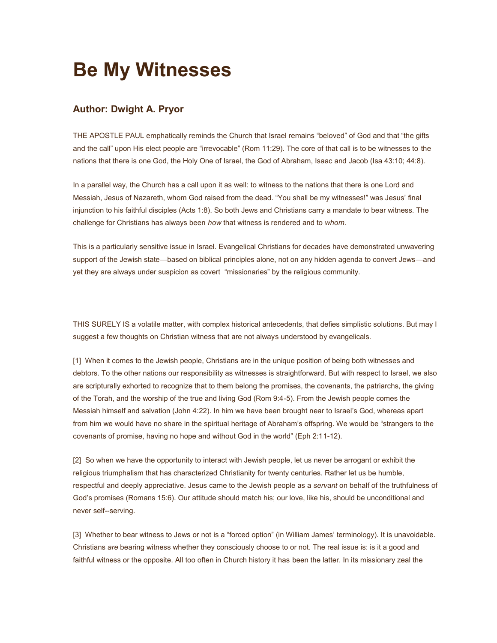## **Be My Witnesses**

## **Author: Dwight A. Pryor**

THE APOSTLE PAUL emphatically reminds the Church that Israel remains "beloved" of God and that "the gifts and the call" upon His elect people are "irrevocable" (Rom 11:29). The core of that call is to be witnesses to the nations that there is one God, the Holy One of Israel, the God of Abraham, Isaac and Jacob (Isa 43:10; 44:8).

In a parallel way, the Church has a call upon it as well: to witness to the nations that there is one Lord and Messiah, Jesus of Nazareth, whom God raised from the dead. "You shall be my witnesses!" was Jesus' final injunction to his faithful disciples (Acts 1:8). So both Jews and Christians carry a mandate to bear witness. The challenge for Christians has always been *how* that witness is rendered and to *whom*.

This is a particularly sensitive issue in Israel. Evangelical Christians for decades have demonstrated unwavering support of the Jewish state—based on biblical principles alone, not on any hidden agenda to convert Jews—and yet they are always under suspicion as covert "missionaries" by the religious community.

THIS SURELY IS a volatile matter, with complex historical antecedents, that defies simplistic solutions. But may I suggest a few thoughts on Christian witness that are not always understood by evangelicals.

[1] When it comes to the Jewish people, Christians are in the unique position of being both witnesses and debtors. To the other nations our responsibility as witnesses is straightforward. But with respect to Israel, we also are scripturally exhorted to recognize that to them belong the promises, the covenants, the patriarchs, the giving of the Torah, and the worship of the true and living God (Rom 9:4-5). From the Jewish people comes the Messiah himself and salvation (John 4:22). In him we have been brought near to Israel's God, whereas apart from him we would have no share in the spiritual heritage of Abraham's offspring. We would be "strangers to the covenants of promise, having no hope and without God in the world" (Eph 2:11-12).

[2] So when we have the opportunity to interact with Jewish people, let us never be arrogant or exhibit the religious triumphalism that has characterized Christianity for twenty centuries. Rather let us be humble, respectful and deeply appreciative. Jesus came to the Jewish people as a *servant* on behalf of the truthfulness of God's promises (Romans 15:6). Our attitude should match his; our love, like his, should be unconditional and never self--serving.

[3] Whether to bear witness to Jews or not is a "forced option" (in William James' terminology). It is unavoidable. Christians *are* bearing witness whether they consciously choose to or not. The real issue is: is it a good and faithful witness or the opposite. All too often in Church history it has been the latter. In its missionary zeal the